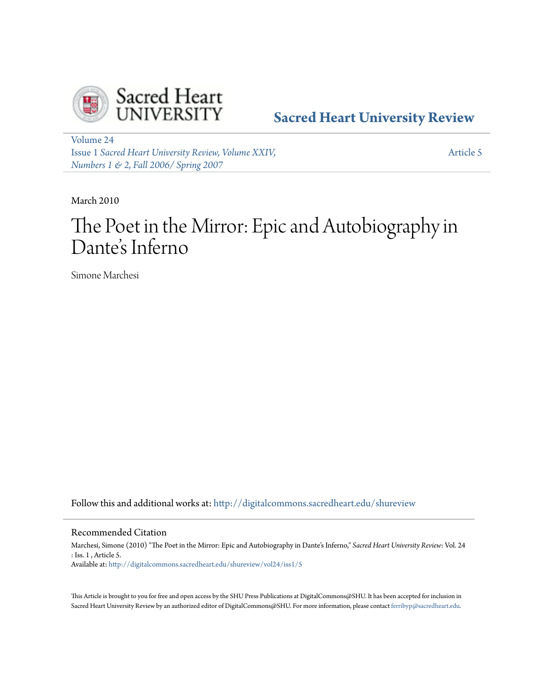

**[Sacred Heart University Review](http://digitalcommons.sacredheart.edu/shureview?utm_source=digitalcommons.sacredheart.edu%2Fshureview%2Fvol24%2Fiss1%2F5&utm_medium=PDF&utm_campaign=PDFCoverPages)**

[Volume 24](http://digitalcommons.sacredheart.edu/shureview/vol24?utm_source=digitalcommons.sacredheart.edu%2Fshureview%2Fvol24%2Fiss1%2F5&utm_medium=PDF&utm_campaign=PDFCoverPages) Issue 1 *[Sacred Heart University Review, Volume XXIV,](http://digitalcommons.sacredheart.edu/shureview/vol24/iss1?utm_source=digitalcommons.sacredheart.edu%2Fshureview%2Fvol24%2Fiss1%2F5&utm_medium=PDF&utm_campaign=PDFCoverPages) [Numbers 1 & 2, Fall 2006/ Spring 2007](http://digitalcommons.sacredheart.edu/shureview/vol24/iss1?utm_source=digitalcommons.sacredheart.edu%2Fshureview%2Fvol24%2Fiss1%2F5&utm_medium=PDF&utm_campaign=PDFCoverPages)*

[Article 5](http://digitalcommons.sacredheart.edu/shureview/vol24/iss1/5?utm_source=digitalcommons.sacredheart.edu%2Fshureview%2Fvol24%2Fiss1%2F5&utm_medium=PDF&utm_campaign=PDFCoverPages)

March 2010

# The Poet in the Mirror: Epic and Autobiography in Dante 's Inferno

Simone Marchesi

Follow this and additional works at: [http://digitalcommons.sacredheart.edu/shureview](http://digitalcommons.sacredheart.edu/shureview?utm_source=digitalcommons.sacredheart.edu%2Fshureview%2Fvol24%2Fiss1%2F5&utm_medium=PDF&utm_campaign=PDFCoverPages)

Recommended Citation

Marchesi, Simone (2010) "The Poet in the Mirror: Epic and Autobiography in Dante's Inferno," *Sacred Heart University Review*: Vol. 24 : Iss. 1 , Article 5. Available at: [http://digitalcommons.sacredheart.edu/shureview/vol24/iss1/5](http://digitalcommons.sacredheart.edu/shureview/vol24/iss1/5?utm_source=digitalcommons.sacredheart.edu%2Fshureview%2Fvol24%2Fiss1%2F5&utm_medium=PDF&utm_campaign=PDFCoverPages)

This Article is brought to you for free and open access by the SHU Press Publications at DigitalCommons@SHU. It has been accepted for inclusion in Sacred Heart University Review by an authorized editor of DigitalCommons@SHU. For more information, please contact [ferribyp@sacredheart.edu](mailto:ferribyp@sacredheart.edu).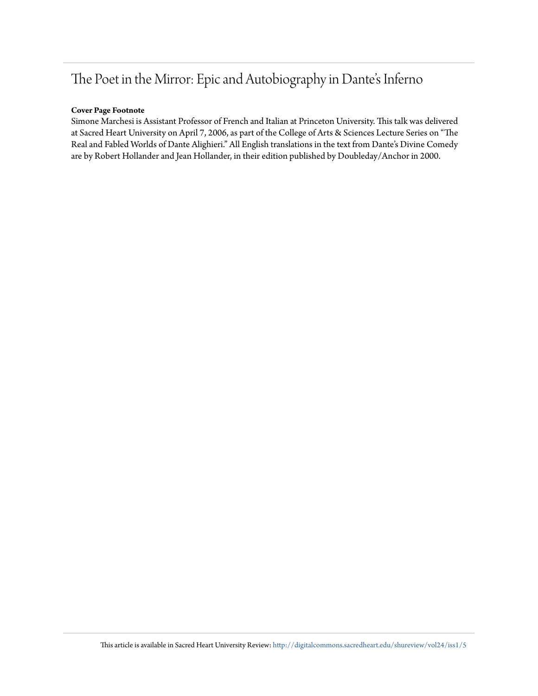# The Poet in the Mirror: Epic and Autobiography in Dante's Inferno

#### **Cover Page Footnote**

Simone Marchesi is Assistant Professor of French and Italian at Princeton University. This talk was delivered at Sacred Heart University on April 7, 2006, as part of the College of Arts & Sciences Lecture Series on "The Real and Fabled Worlds of Dante Alighieri." All English translations in the text from Dante's Divine Comedy are by Robert Hollander and Jean Hollander, in their edition published by Doubleday/Anchor in 2000.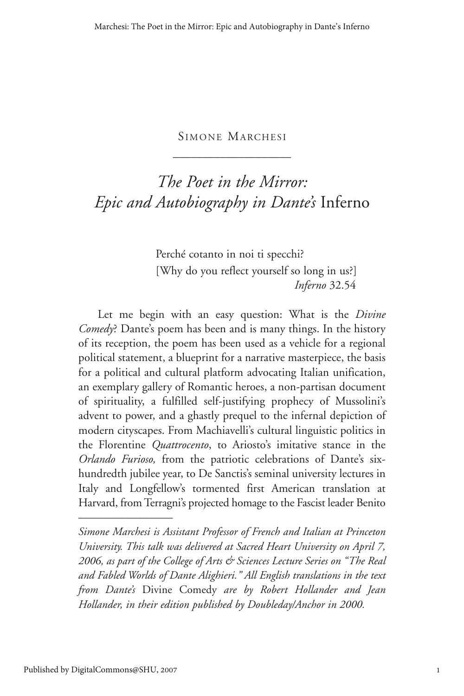### SIMONE MARCHESI  $\overline{\phantom{a}}$  , where  $\overline{\phantom{a}}$

## *The Poet in the Mirror: Epic and Autobiography in Dante's* Inferno

Perché cotanto in noi ti specchi? [Why do you reflect yourself so long in us?] *Inferno* 32.54

Let me begin with an easy question: What is the *Divine Comedy*? Dante's poem has been and is many things. In the history of its reception, the poem has been used as a vehicle for a regional political statement, a blueprint for a narrative masterpiece, the basis for a political and cultural platform advocating Italian unification, an exemplary gallery of Romantic heroes, a non-partisan document of spirituality, a fulfilled self-justifying prophecy of Mussolini's advent to power, and a ghastly prequel to the infernal depiction of modern cityscapes. From Machiavelli's cultural linguistic politics in the Florentine *Quattrocento*, to Ariosto's imitative stance in the *Orlando Furioso,* from the patriotic celebrations of Dante's sixhundredth jubilee year, to De Sanctis's seminal university lectures in Italy and Longfellow's tormented first American translation at Harvard, from Terragni's projected homage to the Fascist leader Benito

*Simone Marchesi is Assistant Professor of French and Italian at Princeton University. This talk was delivered at Sacred Heart University on April 7, 2006, as part of the College of Arts & Sciences Lecture Series on "The Real and Fabled Worlds of Dante Alighieri." All English translations in the text from Dante's* Divine Comedy *are by Robert Hollander and Jean Hollander, in their edition published by Doubleday/Anchor in 2000.*

————————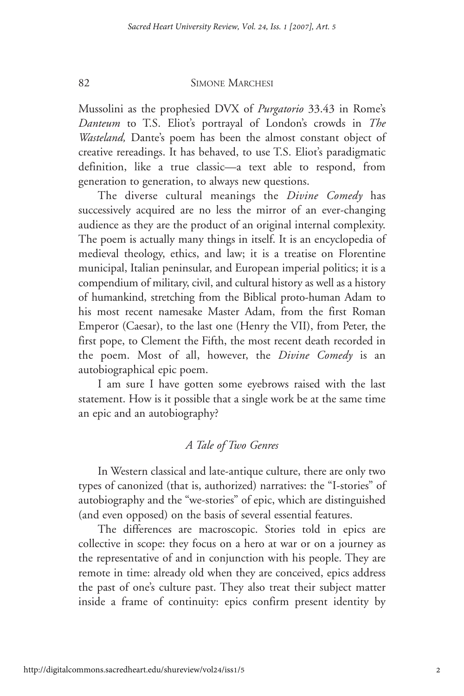Mussolini as the prophesied DVX of *Purgatorio* 33.43 in Rome's *Danteum* to T.S. Eliot's portrayal of London's crowds in *The Wasteland,* Dante's poem has been the almost constant object of creative rereadings. It has behaved, to use T.S. Eliot's paradigmatic definition, like a true classic—a text able to respond, from generation to generation, to always new questions.

The diverse cultural meanings the *Divine Comedy* has successively acquired are no less the mirror of an ever-changing audience as they are the product of an original internal complexity. The poem is actually many things in itself. It is an encyclopedia of medieval theology, ethics, and law; it is a treatise on Florentine municipal, Italian peninsular, and European imperial politics; it is a compendium of military, civil, and cultural history as well as a history of humankind, stretching from the Biblical proto-human Adam to his most recent namesake Master Adam, from the first Roman Emperor (Caesar), to the last one (Henry the VII), from Peter, the first pope, to Clement the Fifth, the most recent death recorded in the poem. Most of all, however, the *Divine Comedy* is an autobiographical epic poem.

I am sure I have gotten some eyebrows raised with the last statement. How is it possible that a single work be at the same time an epic and an autobiography?

#### *A Tale of Two Genres*

In Western classical and late-antique culture, there are only two types of canonized (that is, authorized) narratives: the "I-stories" of autobiography and the "we-stories" of epic, which are distinguished (and even opposed) on the basis of several essential features.

The differences are macroscopic. Stories told in epics are collective in scope: they focus on a hero at war or on a journey as the representative of and in conjunction with his people. They are remote in time: already old when they are conceived, epics address the past of one's culture past. They also treat their subject matter inside a frame of continuity: epics confirm present identity by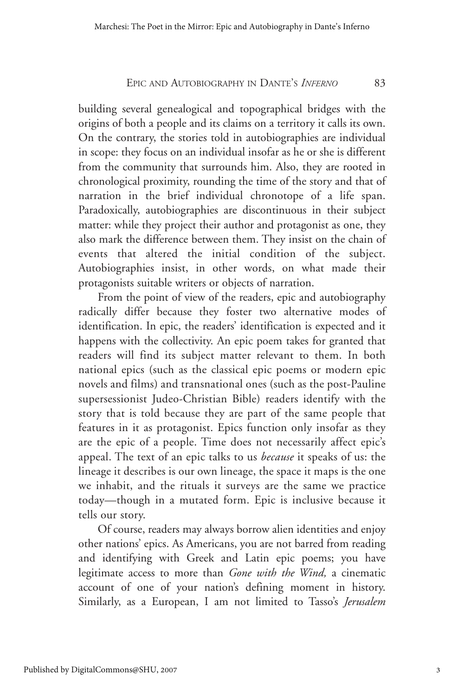building several genealogical and topographical bridges with the origins of both a people and its claims on a territory it calls its own. On the contrary, the stories told in autobiographies are individual in scope: they focus on an individual insofar as he or she is different from the community that surrounds him. Also, they are rooted in chronological proximity, rounding the time of the story and that of narration in the brief individual chronotope of a life span. Paradoxically, autobiographies are discontinuous in their subject matter: while they project their author and protagonist as one, they also mark the difference between them. They insist on the chain of events that altered the initial condition of the subject. Autobiographies insist, in other words, on what made their protagonists suitable writers or objects of narration.

From the point of view of the readers, epic and autobiography radically differ because they foster two alternative modes of identification. In epic, the readers' identification is expected and it happens with the collectivity. An epic poem takes for granted that readers will find its subject matter relevant to them. In both national epics (such as the classical epic poems or modern epic novels and films) and transnational ones (such as the post-Pauline supersessionist Judeo-Christian Bible) readers identify with the story that is told because they are part of the same people that features in it as protagonist. Epics function only insofar as they are the epic of a people. Time does not necessarily affect epic's appeal. The text of an epic talks to us *because* it speaks of us: the lineage it describes is our own lineage, the space it maps is the one we inhabit, and the rituals it surveys are the same we practice today—though in a mutated form. Epic is inclusive because it tells our story.

Of course, readers may always borrow alien identities and enjoy other nations' epics. As Americans, you are not barred from reading and identifying with Greek and Latin epic poems; you have legitimate access to more than *Gone with the Wind,* a cinematic account of one of your nation's defining moment in history. Similarly, as a European, I am not limited to Tasso's *Jerusalem*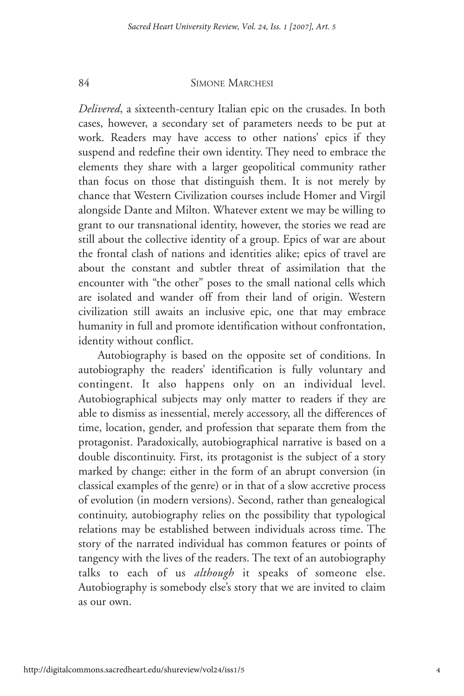*Delivered*, a sixteenth-century Italian epic on the crusades. In both cases, however, a secondary set of parameters needs to be put at work. Readers may have access to other nations' epics if they suspend and redefine their own identity. They need to embrace the elements they share with a larger geopolitical community rather than focus on those that distinguish them. It is not merely by chance that Western Civilization courses include Homer and Virgil alongside Dante and Milton. Whatever extent we may be willing to grant to our transnational identity, however, the stories we read are still about the collective identity of a group. Epics of war are about the frontal clash of nations and identities alike; epics of travel are about the constant and subtler threat of assimilation that the encounter with "the other" poses to the small national cells which are isolated and wander off from their land of origin. Western civilization still awaits an inclusive epic, one that may embrace humanity in full and promote identification without confrontation, identity without conflict.

Autobiography is based on the opposite set of conditions. In autobiography the readers' identification is fully voluntary and contingent. It also happens only on an individual level. Autobiographical subjects may only matter to readers if they are able to dismiss as inessential, merely accessory, all the differences of time, location, gender, and profession that separate them from the protagonist. Paradoxically, autobiographical narrative is based on a double discontinuity. First, its protagonist is the subject of a story marked by change: either in the form of an abrupt conversion (in classical examples of the genre) or in that of a slow accretive process of evolution (in modern versions). Second, rather than genealogical continuity, autobiography relies on the possibility that typological relations may be established between individuals across time. The story of the narrated individual has common features or points of tangency with the lives of the readers. The text of an autobiography talks to each of us *although* it speaks of someone else. Autobiography is somebody else's story that we are invited to claim as our own.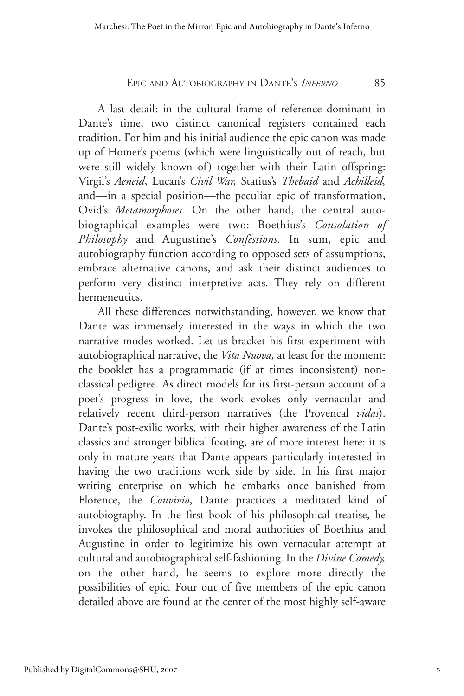A last detail: in the cultural frame of reference dominant in Dante's time, two distinct canonical registers contained each tradition. For him and his initial audience the epic canon was made up of Homer's poems (which were linguistically out of reach, but were still widely known of) together with their Latin offspring: Virgil's *Aeneid*, Lucan's *Civil War,* Statius's *Thebaid* and *Achilleid,* and—in a special position—the peculiar epic of transformation, Ovid's *Metamorphoses.* On the other hand, the central autobiographical examples were two: Boethius's *Consolation of Philosophy* and Augustine's *Confessions.* In sum, epic and autobiography function according to opposed sets of assumptions, embrace alternative canons, and ask their distinct audiences to perform very distinct interpretive acts. They rely on different hermeneutics.

All these differences notwithstanding, however, we know that Dante was immensely interested in the ways in which the two narrative modes worked. Let us bracket his first experiment with autobiographical narrative, the *Vita Nuova,* at least for the moment: the booklet has a programmatic (if at times inconsistent) nonclassical pedigree. As direct models for its first-person account of a poet's progress in love, the work evokes only vernacular and relatively recent third-person narratives (the Provencal *vidas*). Dante's post-exilic works, with their higher awareness of the Latin classics and stronger biblical footing, are of more interest here: it is only in mature years that Dante appears particularly interested in having the two traditions work side by side. In his first major writing enterprise on which he embarks once banished from Florence, the *Convivio*, Dante practices a meditated kind of autobiography. In the first book of his philosophical treatise, he invokes the philosophical and moral authorities of Boethius and Augustine in order to legitimize his own vernacular attempt at cultural and autobiographical self-fashioning. In the *Divine Comedy,* on the other hand, he seems to explore more directly the possibilities of epic. Four out of five members of the epic canon detailed above are found at the center of the most highly self-aware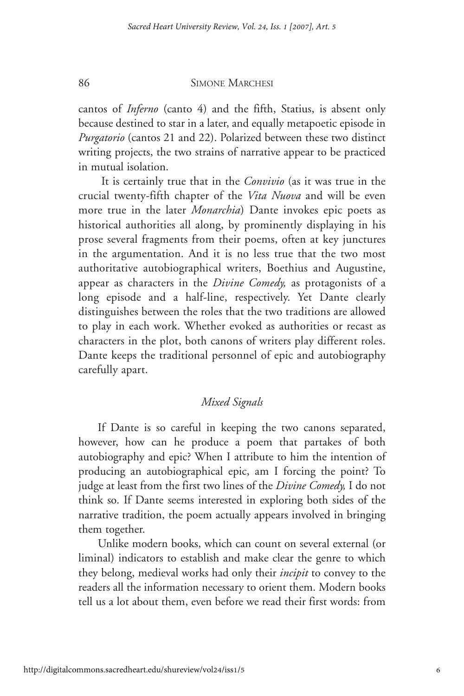cantos of *Inferno* (canto 4) and the fifth, Statius, is absent only because destined to star in a later, and equally metapoetic episode in *Purgatorio* (cantos 21 and 22). Polarized between these two distinct writing projects, the two strains of narrative appear to be practiced in mutual isolation.

It is certainly true that in the *Convivio* (as it was true in the crucial twenty-fifth chapter of the *Vita Nuova* and will be even more true in the later *Monarchia*) Dante invokes epic poets as historical authorities all along, by prominently displaying in his prose several fragments from their poems, often at key junctures in the argumentation. And it is no less true that the two most authoritative autobiographical writers, Boethius and Augustine, appear as characters in the *Divine Comedy,* as protagonists of a long episode and a half-line, respectively. Yet Dante clearly distinguishes between the roles that the two traditions are allowed to play in each work. Whether evoked as authorities or recast as characters in the plot, both canons of writers play different roles. Dante keeps the traditional personnel of epic and autobiography carefully apart.

#### *Mixed Signals*

If Dante is so careful in keeping the two canons separated, however, how can he produce a poem that partakes of both autobiography and epic? When I attribute to him the intention of producing an autobiographical epic, am I forcing the point? To judge at least from the first two lines of the *Divine Comedy,* I do not think so. If Dante seems interested in exploring both sides of the narrative tradition, the poem actually appears involved in bringing them together.

Unlike modern books, which can count on several external (or liminal) indicators to establish and make clear the genre to which they belong, medieval works had only their *incipit* to convey to the readers all the information necessary to orient them. Modern books tell us a lot about them, even before we read their first words: from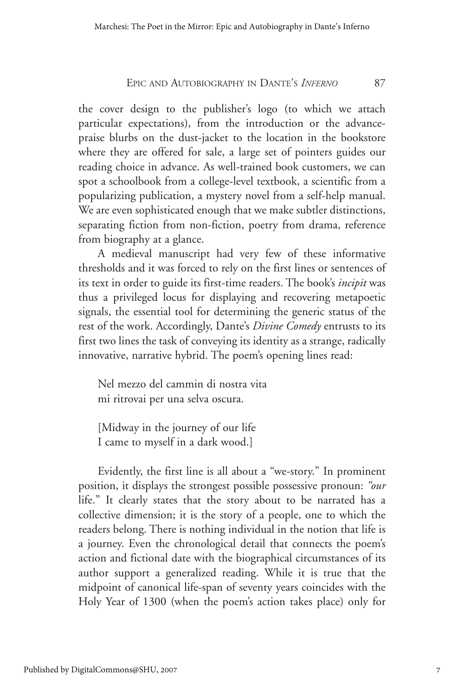the cover design to the publisher's logo (to which we attach particular expectations), from the introduction or the advancepraise blurbs on the dust-jacket to the location in the bookstore where they are offered for sale, a large set of pointers guides our reading choice in advance. As well-trained book customers, we can spot a schoolbook from a college-level textbook, a scientific from a popularizing publication, a mystery novel from a self-help manual. We are even sophisticated enough that we make subtler distinctions, separating fiction from non-fiction, poetry from drama, reference from biography at a glance.

A medieval manuscript had very few of these informative thresholds and it was forced to rely on the first lines or sentences of its text in order to guide its first-time readers. The book's *incipit* was thus a privileged locus for displaying and recovering metapoetic signals, the essential tool for determining the generic status of the rest of the work. Accordingly, Dante's *Divine Comedy* entrusts to its first two lines the task of conveying its identity as a strange, radically innovative, narrative hybrid. The poem's opening lines read:

Nel mezzo del cammin di nostra vita mi ritrovai per una selva oscura.

[Midway in the journey of our life I came to myself in a dark wood.]

Evidently, the first line is all about a "we-story." In prominent position, it displays the strongest possible possessive pronoun: *"our* life." It clearly states that the story about to be narrated has a collective dimension; it is the story of a people, one to which the readers belong. There is nothing individual in the notion that life is a journey. Even the chronological detail that connects the poem's action and fictional date with the biographical circumstances of its author support a generalized reading. While it is true that the midpoint of canonical life-span of seventy years coincides with the Holy Year of 1300 (when the poem's action takes place) only for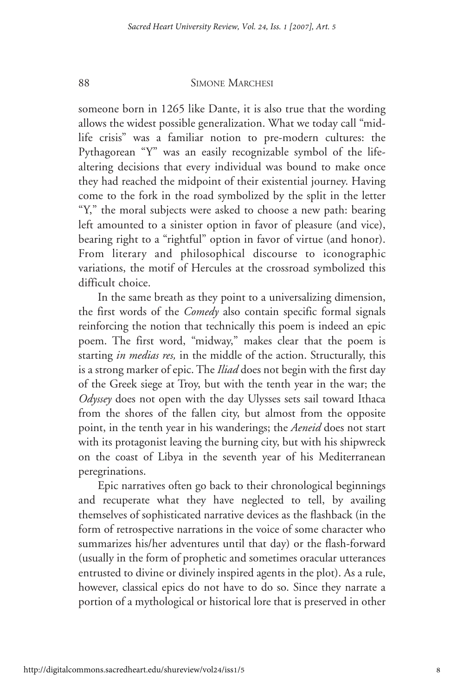someone born in 1265 like Dante, it is also true that the wording allows the widest possible generalization. What we today call "midlife crisis" was a familiar notion to pre-modern cultures: the Pythagorean "Y" was an easily recognizable symbol of the lifealtering decisions that every individual was bound to make once they had reached the midpoint of their existential journey. Having come to the fork in the road symbolized by the split in the letter "Y," the moral subjects were asked to choose a new path: bearing left amounted to a sinister option in favor of pleasure (and vice), bearing right to a "rightful" option in favor of virtue (and honor). From literary and philosophical discourse to iconographic variations, the motif of Hercules at the crossroad symbolized this difficult choice.

In the same breath as they point to a universalizing dimension, the first words of the *Comedy* also contain specific formal signals reinforcing the notion that technically this poem is indeed an epic poem. The first word, "midway," makes clear that the poem is starting *in medias res,* in the middle of the action. Structurally, this is a strong marker of epic. The *Iliad* does not begin with the first day of the Greek siege at Troy, but with the tenth year in the war; the *Odyssey* does not open with the day Ulysses sets sail toward Ithaca from the shores of the fallen city, but almost from the opposite point, in the tenth year in his wanderings; the *Aeneid* does not start with its protagonist leaving the burning city, but with his shipwreck on the coast of Libya in the seventh year of his Mediterranean peregrinations.

Epic narratives often go back to their chronological beginnings and recuperate what they have neglected to tell, by availing themselves of sophisticated narrative devices as the flashback (in the form of retrospective narrations in the voice of some character who summarizes his/her adventures until that day) or the flash-forward (usually in the form of prophetic and sometimes oracular utterances entrusted to divine or divinely inspired agents in the plot). As a rule, however, classical epics do not have to do so. Since they narrate a portion of a mythological or historical lore that is preserved in other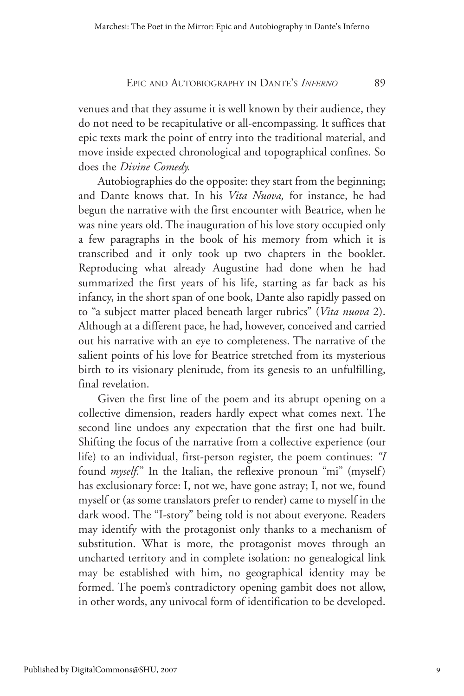venues and that they assume it is well known by their audience, they do not need to be recapitulative or all-encompassing. It suffices that epic texts mark the point of entry into the traditional material, and move inside expected chronological and topographical confines. So does the *Divine Comedy.*

Autobiographies do the opposite: they start from the beginning; and Dante knows that. In his *Vita Nuova,* for instance, he had begun the narrative with the first encounter with Beatrice, when he was nine years old. The inauguration of his love story occupied only a few paragraphs in the book of his memory from which it is transcribed and it only took up two chapters in the booklet. Reproducing what already Augustine had done when he had summarized the first years of his life, starting as far back as his infancy, in the short span of one book, Dante also rapidly passed on to "a subject matter placed beneath larger rubrics" (*Vita nuova* 2). Although at a different pace, he had, however, conceived and carried out his narrative with an eye to completeness. The narrative of the salient points of his love for Beatrice stretched from its mysterious birth to its visionary plenitude, from its genesis to an unfulfilling, final revelation.

Given the first line of the poem and its abrupt opening on a collective dimension, readers hardly expect what comes next. The second line undoes any expectation that the first one had built. Shifting the focus of the narrative from a collective experience (our life) to an individual, first-person register, the poem continues: *"I* found *myself*." In the Italian, the reflexive pronoun "mi" (myself) has exclusionary force: I, not we, have gone astray; I, not we, found myself or (as some translators prefer to render) came to myself in the dark wood. The "I-story" being told is not about everyone. Readers may identify with the protagonist only thanks to a mechanism of substitution. What is more, the protagonist moves through an uncharted territory and in complete isolation: no genealogical link may be established with him, no geographical identity may be formed. The poem's contradictory opening gambit does not allow, in other words, any univocal form of identification to be developed.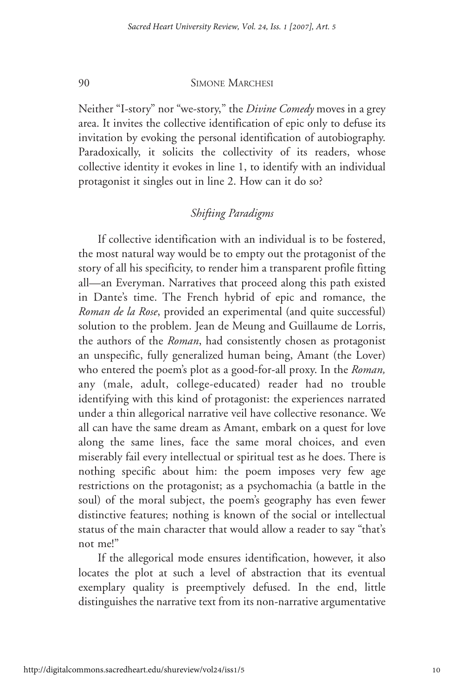Neither "I-story" nor "we-story," the *Divine Comedy* moves in a grey area. It invites the collective identification of epic only to defuse its invitation by evoking the personal identification of autobiography. Paradoxically, it solicits the collectivity of its readers, whose collective identity it evokes in line 1, to identify with an individual protagonist it singles out in line 2. How can it do so?

### *Shifting Paradigms*

If collective identification with an individual is to be fostered, the most natural way would be to empty out the protagonist of the story of all his specificity, to render him a transparent profile fitting all—an Everyman. Narratives that proceed along this path existed in Dante's time. The French hybrid of epic and romance, the *Roman de la Rose*, provided an experimental (and quite successful) solution to the problem. Jean de Meung and Guillaume de Lorris, the authors of the *Roman*, had consistently chosen as protagonist an unspecific, fully generalized human being, Amant (the Lover) who entered the poem's plot as a good-for-all proxy. In the *Roman,* any (male, adult, college-educated) reader had no trouble identifying with this kind of protagonist: the experiences narrated under a thin allegorical narrative veil have collective resonance. We all can have the same dream as Amant, embark on a quest for love along the same lines, face the same moral choices, and even miserably fail every intellectual or spiritual test as he does. There is nothing specific about him: the poem imposes very few age restrictions on the protagonist; as a psychomachia (a battle in the soul) of the moral subject, the poem's geography has even fewer distinctive features; nothing is known of the social or intellectual status of the main character that would allow a reader to say "that's not me!"

If the allegorical mode ensures identification, however, it also locates the plot at such a level of abstraction that its eventual exemplary quality is preemptively defused. In the end, little distinguishes the narrative text from its non-narrative argumentative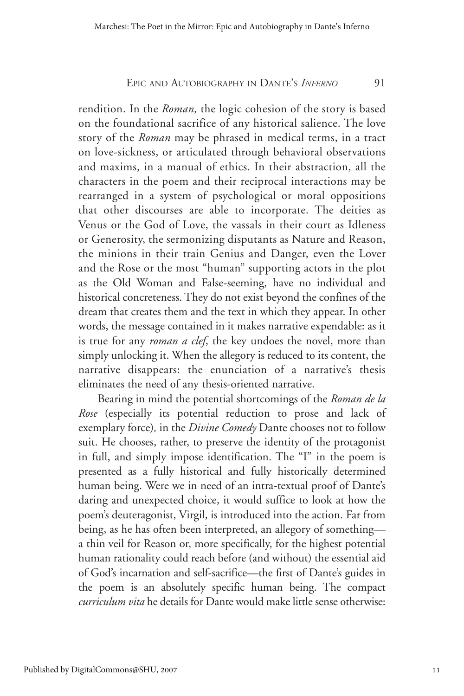rendition. In the *Roman,* the logic cohesion of the story is based on the foundational sacrifice of any historical salience. The love story of the *Roman* may be phrased in medical terms, in a tract on love-sickness, or articulated through behavioral observations and maxims, in a manual of ethics. In their abstraction, all the characters in the poem and their reciprocal interactions may be rearranged in a system of psychological or moral oppositions that other discourses are able to incorporate. The deities as Venus or the God of Love, the vassals in their court as Idleness or Generosity, the sermonizing disputants as Nature and Reason, the minions in their train Genius and Danger, even the Lover and the Rose or the most "human" supporting actors in the plot as the Old Woman and False-seeming, have no individual and historical concreteness. They do not exist beyond the confines of the dream that creates them and the text in which they appear. In other words, the message contained in it makes narrative expendable: as it is true for any *roman a clef*, the key undoes the novel, more than simply unlocking it. When the allegory is reduced to its content, the narrative disappears: the enunciation of a narrative's thesis eliminates the need of any thesis-oriented narrative.

Bearing in mind the potential shortcomings of the *Roman de la Rose* (especially its potential reduction to prose and lack of exemplary force)*,* in the *Divine Comedy* Dante chooses not to follow suit. He chooses, rather, to preserve the identity of the protagonist in full, and simply impose identification. The "I" in the poem is presented as a fully historical and fully historically determined human being. Were we in need of an intra-textual proof of Dante's daring and unexpected choice, it would suffice to look at how the poem's deuteragonist, Virgil, is introduced into the action. Far from being, as he has often been interpreted, an allegory of something a thin veil for Reason or, more specifically, for the highest potential human rationality could reach before (and without) the essential aid of God's incarnation and self-sacrifice—the first of Dante's guides in the poem is an absolutely specific human being. The compact *curriculum vita* he details for Dante would make little sense otherwise: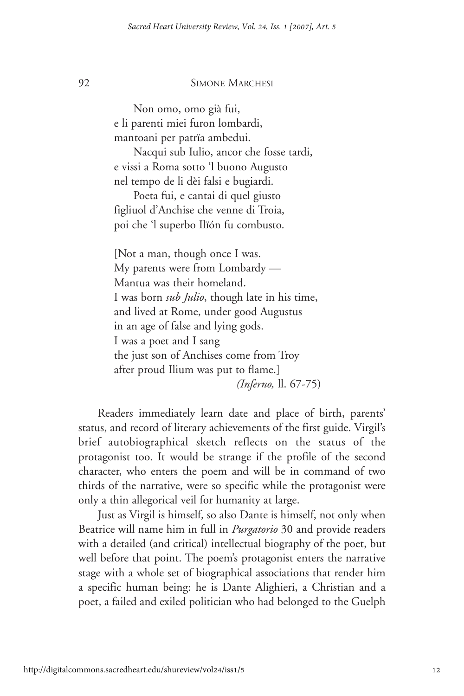Non omo, omo già fui, e li parenti miei furon lombardi, mantoani per patrïa ambedui.

Nacqui sub Iulio, ancor che fosse tardi, e vissi a Roma sotto 'l buono Augusto nel tempo de li dèi falsi e bugiardi.

Poeta fui, e cantai di quel giusto figliuol d'Anchise che venne di Troia, poi che 'l superbo Ilïón fu combusto.

[Not a man, though once I was. My parents were from Lombardy — Mantua was their homeland. I was born *sub Julio*, though late in his time, and lived at Rome, under good Augustus in an age of false and lying gods. I was a poet and I sang the just son of Anchises come from Troy after proud Ilium was put to flame.] *(Inferno,* ll. 67-75)

Readers immediately learn date and place of birth, parents' status, and record of literary achievements of the first guide. Virgil's brief autobiographical sketch reflects on the status of the protagonist too. It would be strange if the profile of the second character, who enters the poem and will be in command of two thirds of the narrative, were so specific while the protagonist were only a thin allegorical veil for humanity at large.

Just as Virgil is himself, so also Dante is himself, not only when Beatrice will name him in full in *Purgatorio* 30 and provide readers with a detailed (and critical) intellectual biography of the poet, but well before that point. The poem's protagonist enters the narrative stage with a whole set of biographical associations that render him a specific human being: he is Dante Alighieri, a Christian and a poet, a failed and exiled politician who had belonged to the Guelph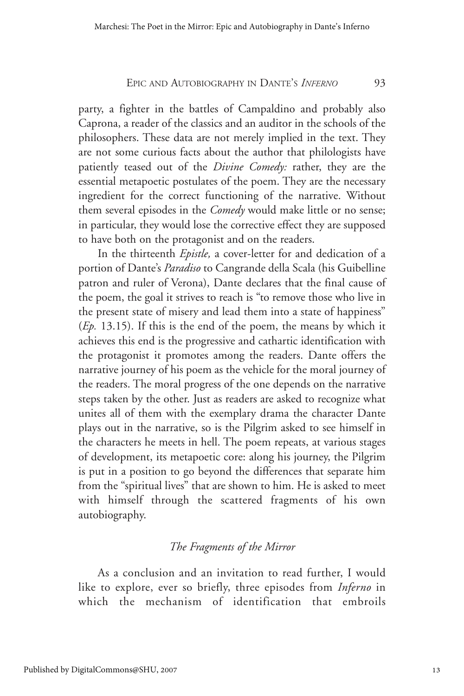party, a fighter in the battles of Campaldino and probably also Caprona, a reader of the classics and an auditor in the schools of the philosophers. These data are not merely implied in the text. They are not some curious facts about the author that philologists have patiently teased out of the *Divine Comedy:* rather, they are the essential metapoetic postulates of the poem. They are the necessary ingredient for the correct functioning of the narrative. Without them several episodes in the *Comedy* would make little or no sense; in particular, they would lose the corrective effect they are supposed to have both on the protagonist and on the readers.

In the thirteenth *Epistle,* a cover-letter for and dedication of a portion of Dante's *Paradiso* to Cangrande della Scala (his Guibelline patron and ruler of Verona), Dante declares that the final cause of the poem, the goal it strives to reach is "to remove those who live in the present state of misery and lead them into a state of happiness" (*Ep.* 13.15). If this is the end of the poem, the means by which it achieves this end is the progressive and cathartic identification with the protagonist it promotes among the readers. Dante offers the narrative journey of his poem as the vehicle for the moral journey of the readers. The moral progress of the one depends on the narrative steps taken by the other. Just as readers are asked to recognize what unites all of them with the exemplary drama the character Dante plays out in the narrative, so is the Pilgrim asked to see himself in the characters he meets in hell. The poem repeats, at various stages of development, its metapoetic core: along his journey, the Pilgrim is put in a position to go beyond the differences that separate him from the "spiritual lives" that are shown to him. He is asked to meet with himself through the scattered fragments of his own autobiography.

#### *The Fragments of the Mirror*

As a conclusion and an invitation to read further, I would like to explore, ever so briefly, three episodes from *Inferno* in which the mechanism of identification that embroils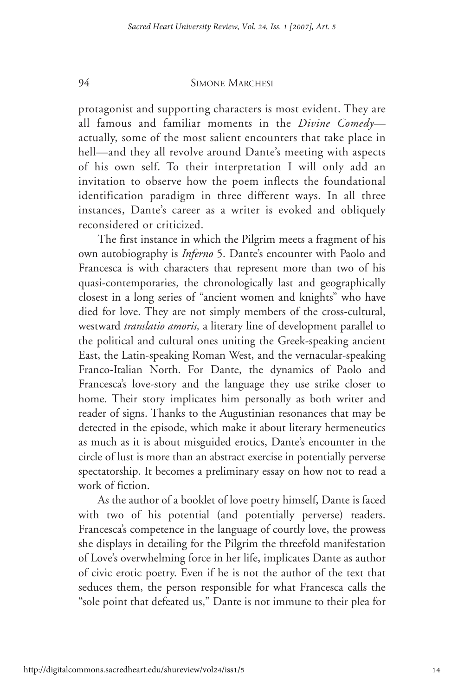protagonist and supporting characters is most evident. They are all famous and familiar moments in the *Divine Comedy* actually, some of the most salient encounters that take place in hell—and they all revolve around Dante's meeting with aspects of his own self. To their interpretation I will only add an invitation to observe how the poem inflects the foundational identification paradigm in three different ways. In all three instances, Dante's career as a writer is evoked and obliquely reconsidered or criticized.

The first instance in which the Pilgrim meets a fragment of his own autobiography is *Inferno* 5. Dante's encounter with Paolo and Francesca is with characters that represent more than two of his quasi-contemporaries, the chronologically last and geographically closest in a long series of "ancient women and knights" who have died for love. They are not simply members of the cross-cultural, westward *translatio amoris,* a literary line of development parallel to the political and cultural ones uniting the Greek-speaking ancient East, the Latin-speaking Roman West, and the vernacular-speaking Franco-Italian North. For Dante, the dynamics of Paolo and Francesca's love-story and the language they use strike closer to home. Their story implicates him personally as both writer and reader of signs. Thanks to the Augustinian resonances that may be detected in the episode, which make it about literary hermeneutics as much as it is about misguided erotics, Dante's encounter in the circle of lust is more than an abstract exercise in potentially perverse spectatorship. It becomes a preliminary essay on how not to read a work of fiction.

As the author of a booklet of love poetry himself, Dante is faced with two of his potential (and potentially perverse) readers. Francesca's competence in the language of courtly love, the prowess she displays in detailing for the Pilgrim the threefold manifestation of Love's overwhelming force in her life, implicates Dante as author of civic erotic poetry. Even if he is not the author of the text that seduces them, the person responsible for what Francesca calls the "sole point that defeated us," Dante is not immune to their plea for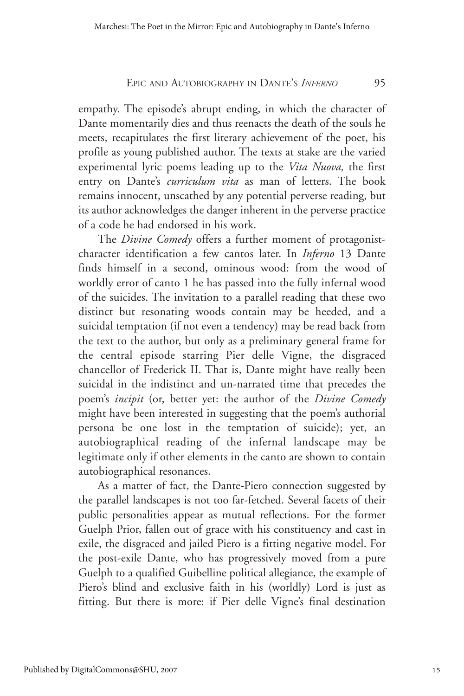empathy. The episode's abrupt ending, in which the character of Dante momentarily dies and thus reenacts the death of the souls he meets, recapitulates the first literary achievement of the poet, his profile as young published author. The texts at stake are the varied experimental lyric poems leading up to the *Vita Nuova,* the first entry on Dante's *curriculum vita* as man of letters. The book remains innocent, unscathed by any potential perverse reading, but its author acknowledges the danger inherent in the perverse practice of a code he had endorsed in his work.

The *Divine Comedy* offers a further moment of protagonistcharacter identification a few cantos later. In *Inferno* 13 Dante finds himself in a second, ominous wood: from the wood of worldly error of canto 1 he has passed into the fully infernal wood of the suicides. The invitation to a parallel reading that these two distinct but resonating woods contain may be heeded, and a suicidal temptation (if not even a tendency) may be read back from the text to the author, but only as a preliminary general frame for the central episode starring Pier delle Vigne, the disgraced chancellor of Frederick II. That is, Dante might have really been suicidal in the indistinct and un-narrated time that precedes the poem's *incipit* (or, better yet: the author of the *Divine Comedy* might have been interested in suggesting that the poem's authorial persona be one lost in the temptation of suicide); yet, an autobiographical reading of the infernal landscape may be legitimate only if other elements in the canto are shown to contain autobiographical resonances.

As a matter of fact, the Dante-Piero connection suggested by the parallel landscapes is not too far-fetched. Several facets of their public personalities appear as mutual reflections. For the former Guelph Prior, fallen out of grace with his constituency and cast in exile, the disgraced and jailed Piero is a fitting negative model. For the post-exile Dante, who has progressively moved from a pure Guelph to a qualified Guibelline political allegiance, the example of Piero's blind and exclusive faith in his (worldly) Lord is just as fitting. But there is more: if Pier delle Vigne's final destination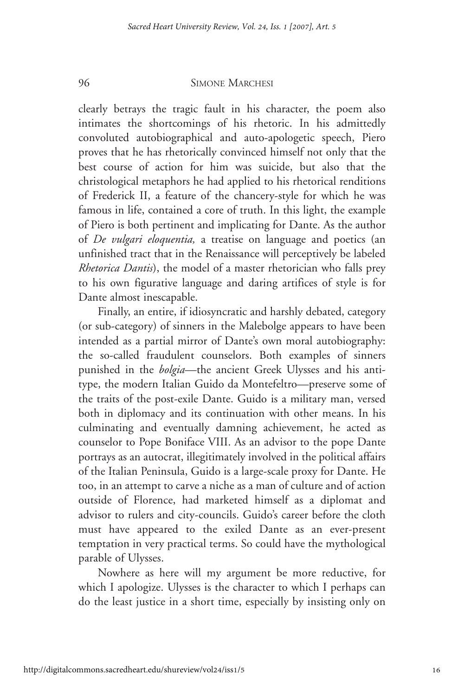clearly betrays the tragic fault in his character, the poem also intimates the shortcomings of his rhetoric. In his admittedly convoluted autobiographical and auto-apologetic speech, Piero proves that he has rhetorically convinced himself not only that the best course of action for him was suicide, but also that the christological metaphors he had applied to his rhetorical renditions of Frederick II, a feature of the chancery-style for which he was famous in life, contained a core of truth. In this light, the example of Piero is both pertinent and implicating for Dante. As the author of *De vulgari eloquentia,* a treatise on language and poetics (an unfinished tract that in the Renaissance will perceptively be labeled *Rhetorica Dantis*), the model of a master rhetorician who falls prey to his own figurative language and daring artifices of style is for Dante almost inescapable.

Finally, an entire, if idiosyncratic and harshly debated, category (or sub-category) of sinners in the Malebolge appears to have been intended as a partial mirror of Dante's own moral autobiography: the so-called fraudulent counselors. Both examples of sinners punished in the *bolgia*—the ancient Greek Ulysses and his antitype, the modern Italian Guido da Montefeltro—preserve some of the traits of the post-exile Dante. Guido is a military man, versed both in diplomacy and its continuation with other means. In his culminating and eventually damning achievement, he acted as counselor to Pope Boniface VIII. As an advisor to the pope Dante portrays as an autocrat, illegitimately involved in the political affairs of the Italian Peninsula, Guido is a large-scale proxy for Dante. He too, in an attempt to carve a niche as a man of culture and of action outside of Florence, had marketed himself as a diplomat and advisor to rulers and city-councils. Guido's career before the cloth must have appeared to the exiled Dante as an ever-present temptation in very practical terms. So could have the mythological parable of Ulysses.

Nowhere as here will my argument be more reductive, for which I apologize. Ulysses is the character to which I perhaps can do the least justice in a short time, especially by insisting only on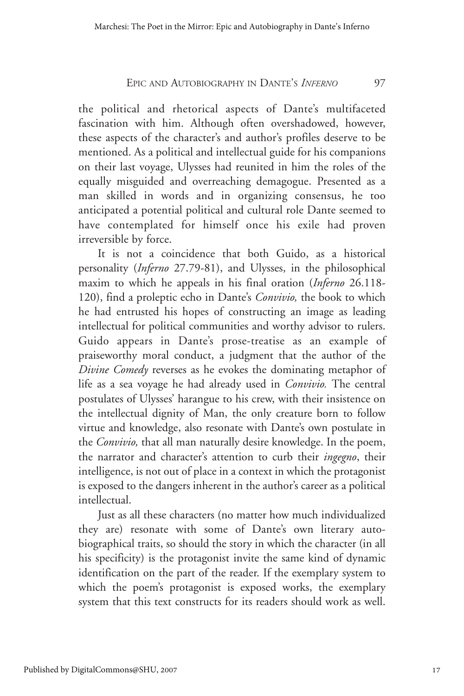the political and rhetorical aspects of Dante's multifaceted fascination with him. Although often overshadowed, however, these aspects of the character's and author's profiles deserve to be mentioned. As a political and intellectual guide for his companions on their last voyage, Ulysses had reunited in him the roles of the equally misguided and overreaching demagogue. Presented as a man skilled in words and in organizing consensus, he too anticipated a potential political and cultural role Dante seemed to have contemplated for himself once his exile had proven irreversible by force.

It is not a coincidence that both Guido, as a historical personality (*Inferno* 27.79-81), and Ulysses, in the philosophical maxim to which he appeals in his final oration (*Inferno* 26.118- 120), find a proleptic echo in Dante's *Convivio,* the book to which he had entrusted his hopes of constructing an image as leading intellectual for political communities and worthy advisor to rulers. Guido appears in Dante's prose-treatise as an example of praiseworthy moral conduct, a judgment that the author of the *Divine Comedy* reverses as he evokes the dominating metaphor of life as a sea voyage he had already used in *Convivio.* The central postulates of Ulysses' harangue to his crew, with their insistence on the intellectual dignity of Man, the only creature born to follow virtue and knowledge, also resonate with Dante's own postulate in the *Convivio,* that all man naturally desire knowledge. In the poem, the narrator and character's attention to curb their *ingegno*, their intelligence, is not out of place in a context in which the protagonist is exposed to the dangers inherent in the author's career as a political intellectual.

Just as all these characters (no matter how much individualized they are) resonate with some of Dante's own literary autobiographical traits, so should the story in which the character (in all his specificity) is the protagonist invite the same kind of dynamic identification on the part of the reader. If the exemplary system to which the poem's protagonist is exposed works, the exemplary system that this text constructs for its readers should work as well.